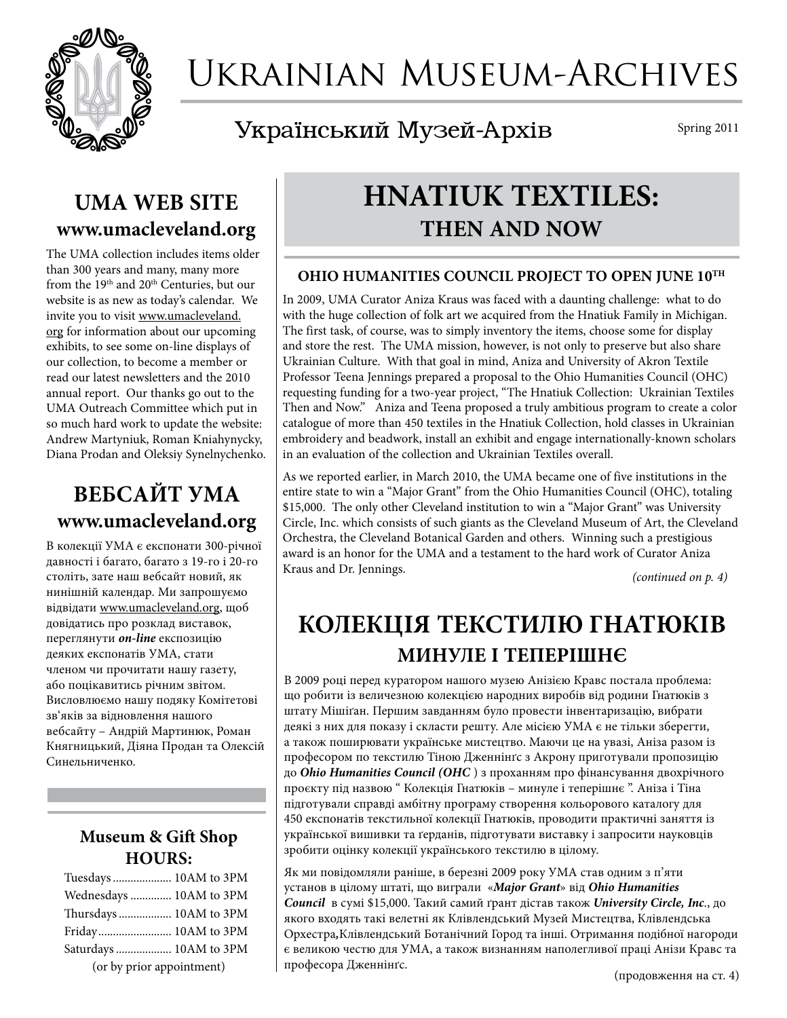

# Ukrainian Museum-Archives

## Український Музей-Архів

Spring 2011

### **UMA WEB SITE www.umacleveland.org**

The UMA collection includes items older than 300 years and many, many more from the 19<sup>th</sup> and 20<sup>th</sup> Centuries, but our website is as new as today's calendar. We invite you to visit www.umacleveland. org for information about our upcoming exhibits, to see some on-line displays of our collection, to become a member or read our latest newsletters and the 2010 annual report. Our thanks go out to the UMA Outreach Committee which put in so much hard work to update the website: Andrew Martyniuk, Roman Kniahynycky, Diana Prodan and Oleksiy Synelnychenko.

## **ВЕБСАЙТ УМА www.umacleveland.org**

В колекції УМА є експонати 300-річної давності і багато, багато з 19-го і 20-го століть, зате наш вебсайт новий, як нинішній календар. Ми запрошуємо відвідати www.umacleveland.org, щоб довідатись про розклад виставок, переглянути *on-line* експозицію деяких експонатів УМА, стати членом чи прочитати нашу газету, або поцікавитись річним звітом. Висловлюємо нашу подяку Комітетові зв'яків за відновлення нашого вебсайту – Андрій Мартинюк, Роман Княгницький, Діяна Продан та Олексій Синельниченко.

### **Museum & Gift Shop Hours:**

| Tuesdays  10AM to 3PM     |  |  |
|---------------------------|--|--|
| Wednesdays  10AM to 3PM   |  |  |
| Thursdays  10AM to 3PM    |  |  |
| Friday 10AM to 3PM        |  |  |
| Saturdays  10AM to 3PM    |  |  |
| (or by prior appointment) |  |  |

# **HNATIUK TEXTILES: THEN AND NOW**

#### **OHIO HUMANITIES COUNCIL PROJECT TO OPEN JUNE 10TH**

In 2009, UMA Curator Aniza Kraus was faced with a daunting challenge: what to do with the huge collection of folk art we acquired from the Hnatiuk Family in Michigan. The first task, of course, was to simply inventory the items, choose some for display and store the rest. The UMA mission, however, is not only to preserve but also share Ukrainian Culture. With that goal in mind, Aniza and University of Akron Textile Professor Teena Jennings prepared a proposal to the Ohio Humanities Council (OHC) requesting funding for a two-year project, "The Hnatiuk Collection: Ukrainian Textiles Then and Now." Aniza and Teena proposed a truly ambitious program to create a color catalogue of more than 450 textiles in the Hnatiuk Collection, hold classes in Ukrainian embroidery and beadwork, install an exhibit and engage internationally-known scholars in an evaluation of the collection and Ukrainian Textiles overall.

As we reported earlier, in March 2010, the UMA became one of five institutions in the entire state to win a "Major Grant" from the Ohio Humanities Council (OHC), totaling \$15,000. The only other Cleveland institution to win a "Major Grant" was University Circle, Inc. which consists of such giants as the Cleveland Museum of Art, the Cleveland Orchestra, the Cleveland Botanical Garden and others. Winning such a prestigious award is an honor for the UMA and a testament to the hard work of Curator Aniza Kraus and Dr. Jennings.

*(continued on p. 4)*

## **КОЛЕКЦІЯ ТЕКСТИЛЮ ГНАТЮКІВ МИНУЛЕ І ТЕПЕРІШНЄ**

В 2009 році перед куратором нашого музею Анізією Кравс постала проблема: що робити із величезною колекцією народних виробів від родини Гнатюків з штату Мішіґан. Першим завданням було провести інвентаризацію, вибрати деякі з них для показу і скласти решту. Але місією УМА є не тільки зберегти, а також поширювати українське мистецтво. Маючи це на увазі, Аніза разом із професором по текстилю Тіною Дженнінґс з Акрону приготували пропозицію до *Ohio Humanities Council (ОНС* ) з проханням про фінансування двохрічного проєкту під назвою " Колекція Гнатюків – минуле і теперішнє ". Аніза і Тіна підготували справді амбітну програму створення кольорового каталогу для 450 експонатів текстильної колекції Гнатюків, проводити практичні заняття із української вишивки та ґерданів, підготувати виставку і запросити науковців зробити оцінку колекції українського текстилю в цілому.

Як ми повідомляли раніше, в березні 2009 року УМА став одним з п'яти установ в цілому штаті, що виграли «*Major Grant*» від *Ohio Humanities Council* в сумі \$15,000. Такий самий ґрант дістав також *University Circle, Inc*., до якого входять такі велетні як Клівлендський Музей Мистецтва, Клівлендська Орхестра*,*Клівлендський Ботанічний Город та інші. Отримання подібної нагороди є великою честю для УМА, а також визнанням наполегливої праці Анізи Кравс та професора Дженнінґс.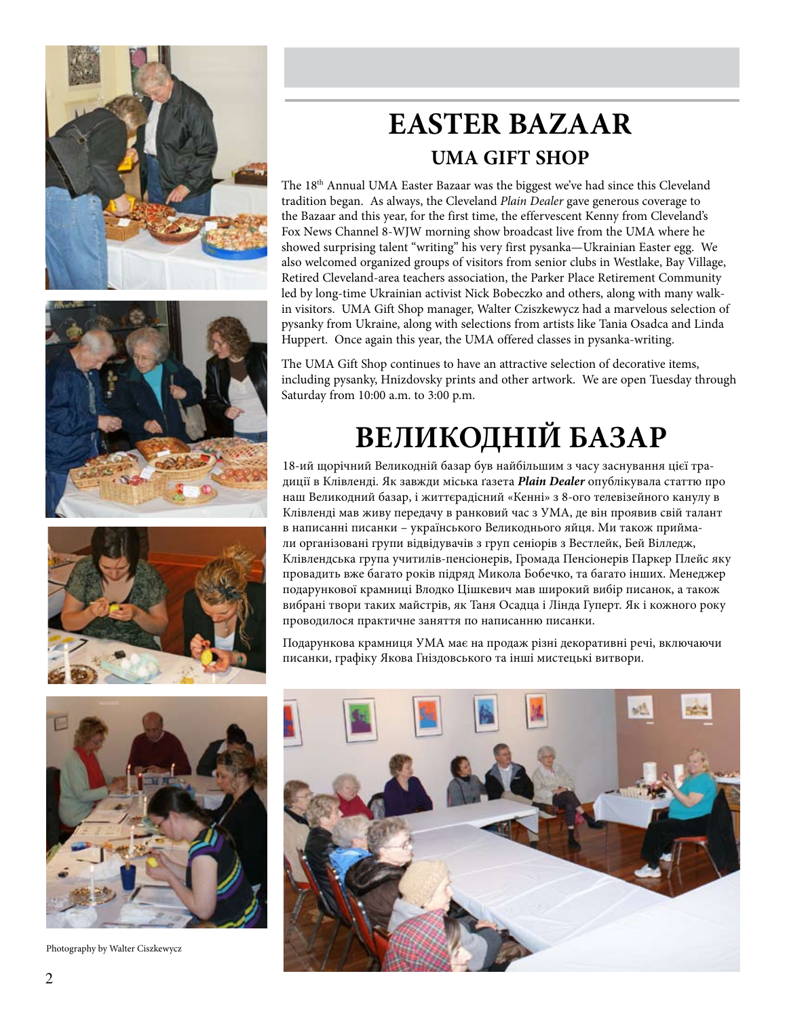

# **EASTER BAZAAR UMA GIFT SHOP**

The 18th Annual UMA Easter Bazaar was the biggest we've had since this Cleveland tradition began. As always, the Cleveland *Plain Dealer* gave generous coverage to the Bazaar and this year, for the first time, the effervescent Kenny from Cleveland's Fox News Channel 8-WJW morning show broadcast live from the UMA where he showed surprising talent "writing" his very first pysanka—Ukrainian Easter egg. We also welcomed organized groups of visitors from senior clubs in Westlake, Bay Village, Retired Cleveland-area teachers association, the Parker Place Retirement Community led by long-time Ukrainian activist Nick Bobeczko and others, along with many walkin visitors. UMA Gift Shop manager, Walter Cziszkewycz had a marvelous selection of pysanky from Ukraine, along with selections from artists like Tania Osadca and Linda Huppert. Once again this year, the UMA offered classes in pysanka-writing.

The UMA Gift Shop continues to have an attractive selection of decorative items, including pysanky, Hnizdovsky prints and other artwork. We are open Tuesday through Saturday from 10:00 a.m. to 3:00 p.m.

# **ВЕЛИКОДНІЙ БАЗАР**

18-ий щорічний Великодній базар був найбільшим з часу заснування цієї традиції в Клівленді. Як завжди міська ґазета *Plain Dealer* опублікувала статтю про наш Великодний базар, і життєрадісний «Кенні» з 8-ого телевізейного канулу в Клівленді мав живу передачу в ранковий час з УМА, де він проявив свій талант в написанні писанки – українського Великоднього яйця. Ми також приймали організовані групи відвідувачів з груп сеніорів з Вестлейк, Бей Вілледж, Клівлендська група учитилів-пенсіонерів, Громада Пенсіонерів Паркер Плейс яку провадить вже багато років підряд Микола Бобечко, та багато інших. Менеджер подарункової крамниці Влодко Цішкевич мав широкий вибір писанок, а також вибрані твори таких майстрів, як Таня Осадца і Лінда Гуперт. Як і кожного року проводилося практичне заняття по написанню писанки.

Подарункова крамниця УМА має на продаж різні декоративні речі, включаючи писанки, графіку Якова Гніздовського та інші мистецькі витвори.



Photography by Walter Ciszkewycz

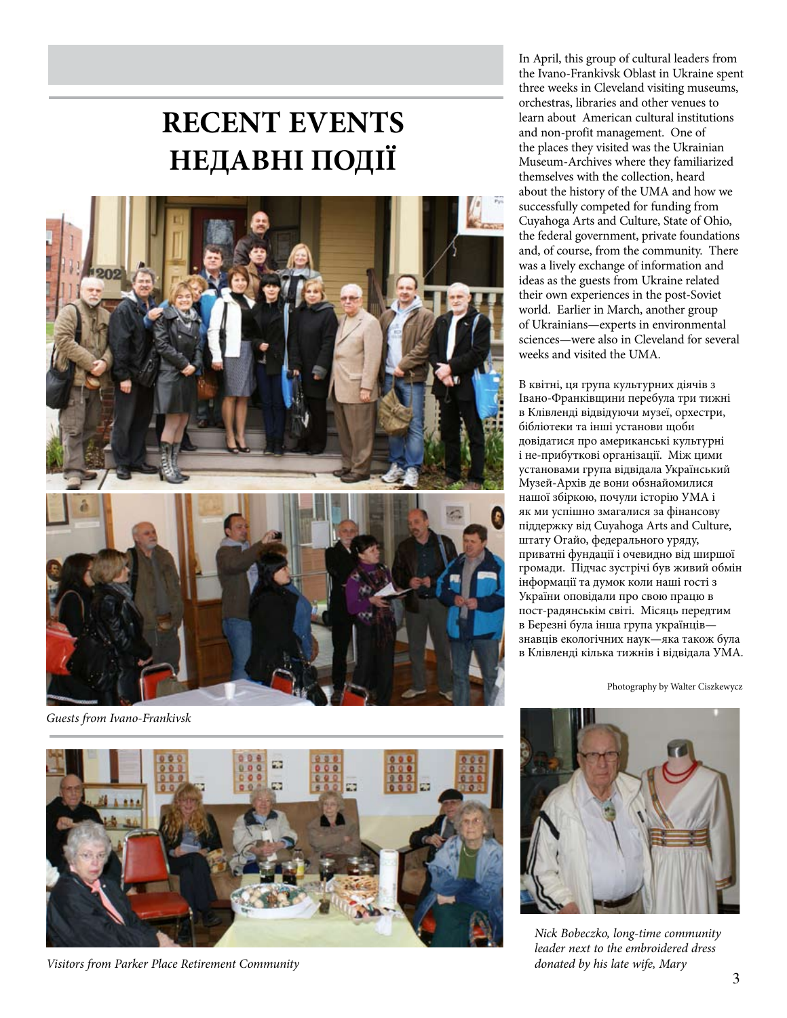# **RECENT EVENTS НЕДАВНІ ПОДІЇ**



*Guests from Ivano-Frankivsk*

In April, this group of cultural leaders from the Ivano-Frankivsk Oblast in Ukraine spent three weeks in Cleveland visiting museums, orchestras, libraries and other venues to learn about American cultural institutions and non-profit management. One of the places they visited was the Ukrainian Museum-Archives where they familiarized themselves with the collection, heard about the history of the UMA and how we successfully competed for funding from Cuyahoga Arts and Culture, State of Ohio, the federal government, private foundations and, of course, from the community. There was a lively exchange of information and ideas as the guests from Ukraine related their own experiences in the post-Soviet world. Earlier in March, another group of Ukrainians—experts in environmental sciences—were also in Cleveland for several weeks and visited the UMA.

В квітні, ця група культурних діячів з Івано-Франківщини перебула три тижні в Клівленді відвідуючи музеї, орхестри, бібліотеки та інші установи щоби довідатися про американські культурні і не-прибуткові організації. Між цими установами група відвідала Український Музей-Архів де вони обзнайомилися нашої збіркою, почули історію УМА і як ми успішно змагалися за фінансову піддержку від Cuyahoga Arts and Culture, штату Огайо, федерального уряду, приватні фундації і очевидно від ширшої громади. Підчас зустрічі був живий обмін інформації та думок коли наші гості з України оповідали про свою працю в пост-радянськім світі. Місяць передтим в Березні була інша група українців знавців екологічних наук—яка також була в Клівленді кілька тижнів і відвідала УМА.

Photography by Walter Ciszkewycz



*Visitors from Parker Place Retirement Community*



*Nick Bobeczko, long-time community leader next to the embroidered dress donated by his late wife, Mary*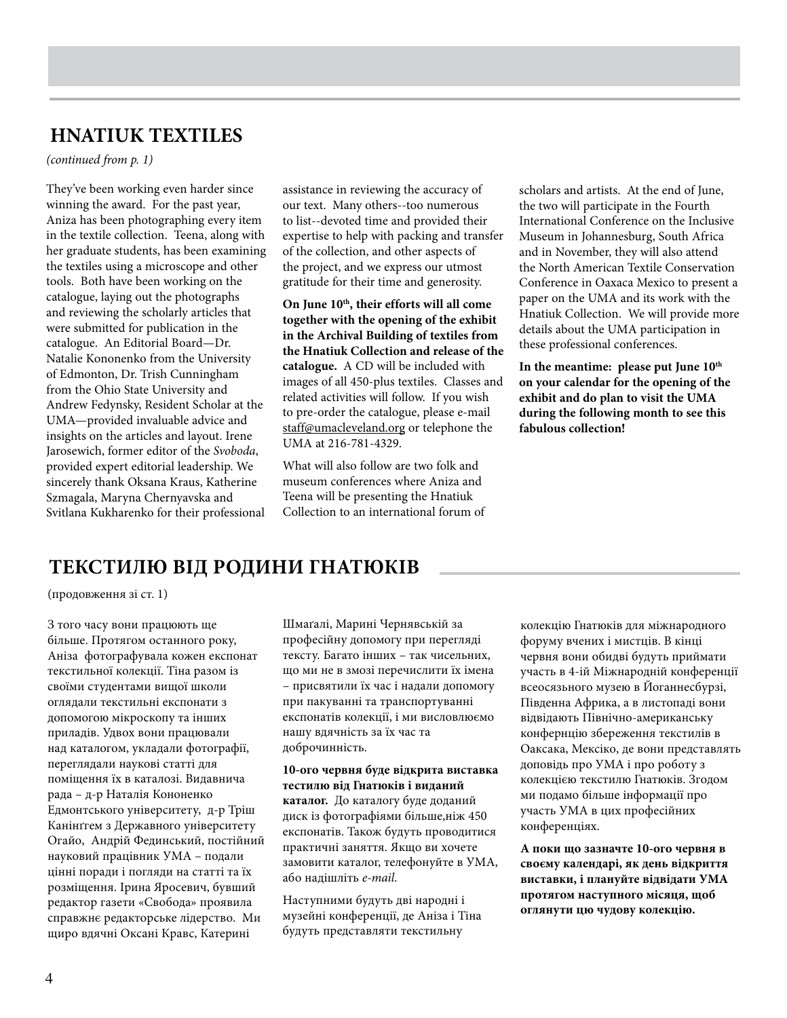### **HNATIUK TEXTILES**

*(continued from p. 1)*

They've been working even harder since winning the award. For the past year, Aniza has been photographing every item in the textile collection. Teena, along with her graduate students, has been examining the textiles using a microscope and other tools. Both have been working on the catalogue, laying out the photographs and reviewing the scholarly articles that were submitted for publication in the catalogue. An Editorial Board—Dr. Natalie Kononenko from the University of Edmonton, Dr. Trish Cunningham from the Ohio State University and Andrew Fedynsky, Resident Scholar at the UMA—provided invaluable advice and insights on the articles and layout. Irene Jarosewich, former editor of the *Svoboda*, provided expert editorial leadership. We sincerely thank Oksana Kraus, Katherine Szmagala, Maryna Chernyavska and Svitlana Kukharenko for their professional

assistance in reviewing the accuracy of our text. Many others--too numerous to list--devoted time and provided their expertise to help with packing and transfer of the collection, and other aspects of the project, and we express our utmost gratitude for their time and generosity.

**On June 10th, their efforts will all come together with the opening of the exhibit in the Archival Building of textiles from the Hnatiuk Collection and release of the catalogue.** A CD will be included with images of all 450-plus textiles. Classes and related activities will follow. If you wish to pre-order the catalogue, please e-mail staff@umacleveland.org or telephone the UMA at 216-781-4329.

What will also follow are two folk and museum conferences where Aniza and Teena will be presenting the Hnatiuk Collection to an international forum of scholars and artists. At the end of June, the two will participate in the Fourth International Conference on the Inclusive Museum in Johannesburg, South Africa and in November, they will also attend the North American Textile Conservation Conference in Oaxaca Mexico to present a paper on the UMA and its work with the Hnatiuk Collection. We will provide more details about the UMA participation in these professional conferences.

In the meantime: please put June  $10^{th}$ **on your calendar for the opening of the exhibit and do plan to visit the UMA during the following month to see this fabulous collection!**

### **текстилю від Родини Гнатюків**

(продовження зi ст. 1)

З того часу вони працюють ще більше. Протягом останного року, Аніза фотографувала кожен експонат текстильної колекції. Тіна разом із своїми студентами вищої школи оглядали текстильні експонати з допомогою мікроскопу та інших приладів. Удвох вони працювали над каталогом, укладали фотографії, переглядали наукові статті для поміщення їх в каталозі. Видавнича рада – д-р Наталія Кононенко Едмонтського університету, д-р Тріш Канінґгем з Державного університету Огайо, Андрій Фединський, постійний науковий працівник УМА – подали цінні поради і погляди на статті та їх розміщення. Ірина Яросевич, бувший редактор газети «Свобода» проявила справжнє редакторське лідерство. Ми щиро вдячні Оксані Кравс, Катерині

Шмаґалі, Марині Чернявській за професійну допомогу при перегляді тексту. Багато інших – так чисельних, що ми не в змозі перечислити їх імена – присвятили їх час і надали допомогу при пакуванні та транспортуванні експонатів колекції, і ми висловлюємо нашу вдячність за їх час та доброчинність.

#### **10-ого червня буде відкрита виставка тестилю від Гнатюків і виданий каталог.** До каталогу буде доданий диск із фотографіями більше,ніж 450 експонатів. Також будуть проводитися практичні заняття. Якщо ви хочете замовити каталог, телефонуйте в УМА, або надішліть *e-mail*.

Наступними будуть дві народні і музейні конференції, де Аніза і Тіна будуть представляти текстильну

колекцію Гнатюків для міжнародного форуму вчених і мистців. В кінці червня вони обидві будуть приймати участь в 4-ій Міжнародній конференції всеосязьного музею в Йоганнесбурзі, Південна Африка, а в листопаді вони відвідають Північно-американську конфернцію збереження текстилів в Оаксака, Мексіко, де вони представлять доповідь про УМА і про роботу з колекцією текстилю Гнатюків. Згодом ми подамо більше інформації про участь УМА в цих професійних конференціях.

**А поки що зазначте 10-ого червня в своєму календарі, як день відкриття виставки, і плануйте відвідати УМА протягом наступного місяця, щоб оглянути цю чудову колекцію.**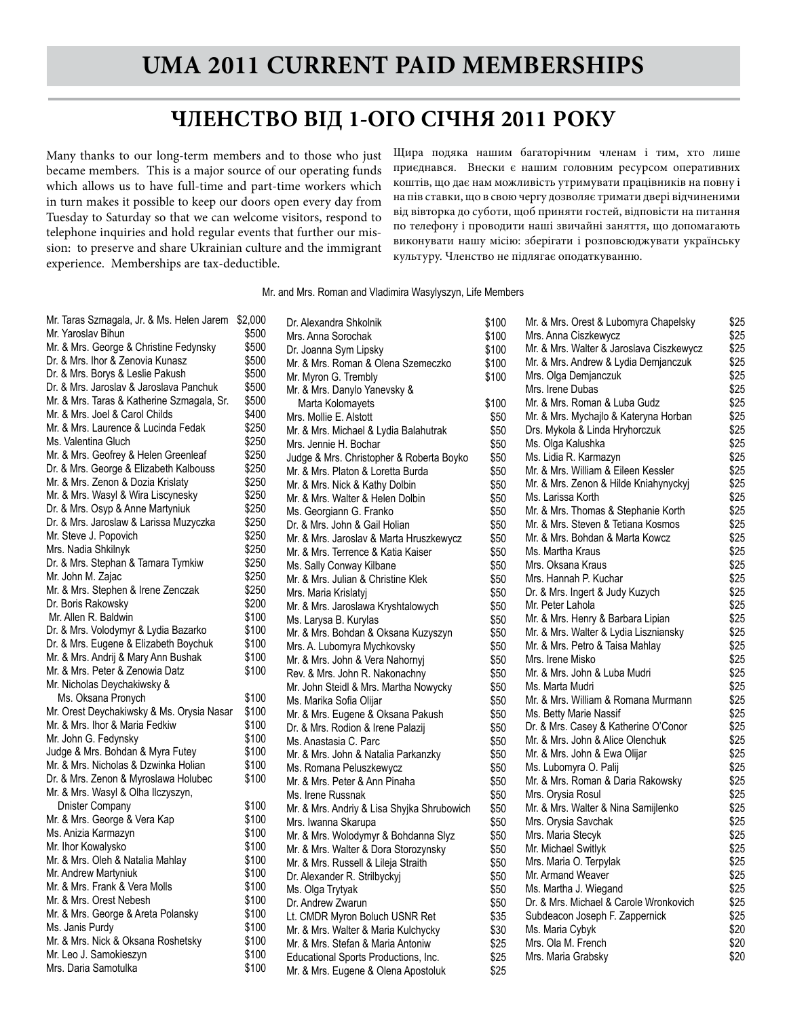### **ЧЛЕНСТВО ВІД 1-ОГО СІЧНЯ 2011 РОКУ**

Many thanks to our long-term members and to those who just became members. This is a major source of our operating funds which allows us to have full-time and part-time workers which in turn makes it possible to keep our doors open every day from Tuesday to Saturday so that we can welcome visitors, respond to telephone inquiries and hold regular events that further our mission: to preserve and share Ukrainian culture and the immigrant experience. Memberships are tax-deductible.

Щира подяка нашим багаторічним членам і тим, хто лише приєднався. Внески є нашим головним ресурсом оперативних коштів, що дає нам можливість утримувати працівників на повну і на пів ставки, що в свою чергу дозволяє тримати двері відчиненими від вівторка до суботи, щоб приняти гостей, відповісти на питання по телефону і проводити наші звичайні заняття, що допомагають виконувати нашу місію: зберігати і розповсюджувати українську культуру. Членство не підлягає оподаткуванню.

#### Mr. and Mrs. Roman and Vladimira Wasylyszyn, Life Members

Dr. Alexandra Shkolnik  $$100$ 

| Mr. Taras Szmagala, Jr. & Ms. Helen Jarem  | \$2,000 |
|--------------------------------------------|---------|
| Mr. Yaroslav Bihun                         | \$500   |
| Mr. & Mrs. George & Christine Fedynsky     | \$500   |
| Dr. & Mrs. Ihor & Zenovia Kunasz           | \$500   |
| Dr. & Mrs. Borys & Leslie Pakush           | \$500   |
| Dr. & Mrs. Jaroslav & Jaroslava Panchuk    | \$500   |
| Mr. & Mrs. Taras & Katherine Szmagala, Sr. | \$500   |
| Mr. & Mrs. Joel & Carol Childs             | \$400   |
| Mr. & Mrs. Laurence & Lucinda Fedak        | \$250   |
| Ms. Valentina Gluch                        | \$250   |
| Mr. & Mrs. Geofrey & Helen Greenleaf       | \$250   |
| Dr. & Mrs. George & Elizabeth Kalbouss     | \$250   |
| Mr. & Mrs. Zenon & Dozia Krislaty          | \$250   |
| Mr. & Mrs. Wasyl & Wira Liscynesky         | \$250   |
| Dr. & Mrs. Osyp & Anne Martyniuk           | \$250   |
| Dr. & Mrs. Jaroslaw & Larissa Muzyczka     | \$250   |
| Mr. Steve J. Popovich                      | \$250   |
| Mrs. Nadia Shkilnyk                        | \$250   |
| Dr. & Mrs. Stephan & Tamara Tymkiw         | \$250   |
| Mr. John M. Zajac                          | \$250   |
| Mr. & Mrs. Stephen & Irene Zenczak         | \$250   |
| Dr. Boris Rakowsky                         | \$200   |
| Mr. Allen R. Baldwin                       | \$100   |
| Dr. & Mrs. Volodymyr & Lydia Bazarko       | \$100   |
| Dr. & Mrs. Eugene & Elizabeth Boychuk      | \$100   |
| Mr. & Mrs. Andrij & Mary Ann Bushak        | \$100   |
| Mr. & Mrs. Peter & Zenowia Datz            | \$100   |
| Mr. Nicholas Deychakiwsky &                |         |
| Ms. Oksana Pronych                         | \$100   |
| Mr. Orest Deychakiwsky & Ms. Orysia Nasar  | \$100   |
| Mr. & Mrs. Ihor & Maria Fedkiw             | \$100   |
| Mr. John G. Fedynsky                       | \$100   |
| Judge & Mrs. Bohdan & Myra Futey           | \$100   |
| Mr. & Mrs. Nicholas & Dzwinka Holian       | \$100   |
| Dr. & Mrs. Zenon & Myroslawa Holubec       | \$100   |
| Mr. & Mrs. Wasyl & Olha Ilczyszyn,         |         |
| Dnister Company                            | \$100   |
|                                            |         |
| Mr. & Mrs. George & Vera Kap               | \$100   |
| Ms. Anizia Karmazyn                        | \$100   |
| Mr. Ihor Kowalysko                         | \$100   |
| Mr. & Mrs. Oleh & Natalia Mahlay           | \$100   |
| Mr. Andrew Martyniuk                       | \$100   |
| Mr. & Mrs. Frank & Vera Molls              | \$100   |
| Mr. & Mrs. Orest Nebesh                    | \$100   |
| Mr. & Mrs. George & Areta Polansky         | \$100   |
| Ms. Janis Purdy                            | \$100   |
| Mr. & Mrs. Nick & Oksana Roshetsky         | \$100   |
| Mr. Leo J. Samokieszyn                     | \$100   |
| Mrs. Daria Samotulka.                      | \$100   |

| υU  | Mrs. Anna Sorochak                         | \$100 |
|-----|--------------------------------------------|-------|
| 00  | Dr. Joanna Sym Lipsky                      | \$100 |
| 500 | Mr. & Mrs. Roman & Olena Szemeczko         | \$100 |
| 500 | Mr. Myron G. Trembly                       | \$100 |
| 500 | Mr. & Mrs. Danylo Yanevsky &               |       |
| 500 | Marta Kolomayets                           | \$100 |
| 100 | Mrs. Mollie E. Alstott                     | \$50  |
| 250 | Mr. & Mrs. Michael & Lydia Balahutrak      | \$50  |
| 250 | Mrs. Jennie H. Bochar                      | \$50  |
| 250 | Judge & Mrs. Christopher & Roberta Boyko   | \$50  |
| 250 | Mr. & Mrs. Platon & Loretta Burda          | \$50  |
| .50 | Mr. & Mrs. Nick & Kathy Dolbin             | \$50  |
| 250 | Mr. & Mrs. Walter & Helen Dolbin           | \$50  |
| 250 | Ms. Georgiann G. Franko                    | \$50  |
| 250 |                                            | \$50  |
| 250 | Dr. & Mrs. John & Gail Holian              |       |
| 250 | Mr. & Mrs. Jaroslav & Marta Hruszkewycz    | \$50  |
| 250 | Mr. & Mrs. Terrence & Katia Kaiser         | \$50  |
| 250 | Ms. Sally Conway Kilbane                   | \$50  |
| .50 | Mr. & Mrs. Julian & Christine Klek         | \$50  |
|     | Mrs. Maria Krislatyi                       | \$50  |
| 200 | Mr. & Mrs. Jaroslawa Kryshtalowych         | \$50  |
| 00  | Ms. Larysa B. Kurylas                      | \$50  |
| 00  | Mr. & Mrs. Bohdan & Oksana Kuzyszyn        | \$50  |
| 00  | Mrs. A. Lubomyra Mychkovsky                | \$50  |
| 00  | Mr. & Mrs. John & Vera Nahornyj            | \$50  |
| 00  | Rev. & Mrs. John R. Nakonachny             | \$50  |
|     | Mr. John Steidl & Mrs. Martha Nowycky      | \$50  |
| 00  | Ms. Marika Sofia Olijar                    | \$50  |
| 00  | Mr. & Mrs. Eugene & Oksana Pakush          | \$50  |
| 00  | Dr. & Mrs. Rodion & Irene Palazij          | \$50  |
| 00  | Ms. Anastasia C. Parc                      | \$50  |
| 00  | Mr. & Mrs. John & Natalia Parkanzky        | \$50  |
| 00  | Ms. Romana Peluszkewycz                    | \$50  |
| 00  | Mr. & Mrs. Peter & Ann Pinaha              | \$50  |
|     | Ms. Irene Russnak                          | \$50  |
| 00  | Mr. & Mrs. Andriy & Lisa Shyjka Shrubowich | \$50  |
| 00  | Mrs. Iwanna Skarupa                        | \$50  |
| 00  | Mr. & Mrs. Wolodymyr & Bohdanna Slyz       | \$50  |
| 00  | Mr. & Mrs. Walter & Dora Storozynsky       | \$50  |
| 00  | Mr. & Mrs. Russell & Lileja Straith        | \$50  |
| 00  | Dr. Alexander R. Strilbyckyj               | \$50  |
| 00  | Ms. Olga Trytyak                           | \$50  |
| 00  | Dr. Andrew Zwarun                          | \$50  |
| 00  | Lt. CMDR Myron Boluch USNR Ret             | \$35  |
| 00  | Mr. & Mrs. Walter & Maria Kulchycky        | \$30  |
| 00  | Mr. & Mrs. Stefan & Maria Antoniw          | \$25  |
| 00  | Educational Sports Productions, Inc.       | \$25  |
| 00  | Mr. & Mrs. Eugene & Olena Apostoluk        | \$25  |
|     |                                            |       |

| Mr. & Mrs. Orest & Lubomyra Chapelsky    | \$25 |
|------------------------------------------|------|
| Mrs. Anna Ciszkewycz                     | \$25 |
| Mr. & Mrs. Walter & Jaroslava Ciszkewycz | \$25 |
| Mr. & Mrs. Andrew & Lydia Demjanczuk     | \$25 |
| Mrs. Olga Demjanczuk                     | \$25 |
| Mrs. Irene Dubas                         | \$25 |
| Mr. & Mrs. Roman & Luba Gudz             | \$25 |
| Mr. & Mrs. Mychajlo & Kateryna Horban    | \$25 |
| Drs. Mykola & Linda Hryhorczuk           | \$25 |
| Ms. Olga Kalushka                        | \$25 |
| Ms. Lidia R. Karmazyn                    | \$25 |
| Mr. & Mrs. William & Eileen Kessler      | \$25 |
| Mr. & Mrs. Zenon & Hilde Kniahynyckyj    | \$25 |
| Ms. Larissa Korth                        | \$25 |
| Mr. & Mrs. Thomas & Stephanie Korth      | \$25 |
| Mr. & Mrs. Steven & Tetiana Kosmos       | \$25 |
| Mr. & Mrs. Bohdan & Marta Kowcz          | \$25 |
| Ms. Martha Kraus                         | \$25 |
| Mrs. Oksana Kraus                        | \$25 |
| Mrs. Hannah P. Kuchar                    | \$25 |
| Dr. & Mrs. Ingert & Judy Kuzych          | \$25 |
| Mr. Peter Lahola                         | \$25 |
| Mr. & Mrs. Henry & Barbara Lipian        | \$25 |
| Mr. & Mrs. Walter & Lydia Liszniansky    | \$25 |
| Mr. & Mrs. Petro & Taisa Mahlay          | \$25 |
| Mrs. Irene Misko                         | \$25 |
| Mr. & Mrs. John & Luba Mudri             | \$25 |
| Ms. Marta Mudri                          | \$25 |
|                                          |      |
| Mr. & Mrs. William & Romana Murmann      | \$25 |
| Ms. Betty Marie Nassif                   | \$25 |
| Dr. & Mrs. Casey & Katherine O'Conor     | \$25 |
| Mr. & Mrs. John & Alice Olenchuk         | \$25 |
| Mr. & Mrs. John & Ewa Olijar             | \$25 |
| Ms. Lubomyra O. Palij                    | \$25 |
| Mr. & Mrs. Roman & Daria Rakowsky        | \$25 |
| Mrs. Orysia Rosul                        | \$25 |
| Mr. & Mrs. Walter & Nina Samijlenko      | \$25 |
| Mrs. Orysia Savchak                      | \$25 |
| Mrs. Maria Stecyk                        | \$25 |
| Mr. Michael Switlyk                      | \$25 |
| Mrs. Maria O. Terpylak                   | \$25 |
| Mr. Armand Weaver                        | \$25 |
| Ms. Martha J. Wiegand                    | \$25 |
| Dr. & Mrs. Michael & Carole Wronkovich   | \$25 |
| Subdeacon Joseph F. Zappernick           | \$25 |
| Ms. Maria Cybyk                          | \$20 |
| Mrs. Ola M. French                       | \$20 |
| Mrs. Maria Grabskv                       | \$20 |